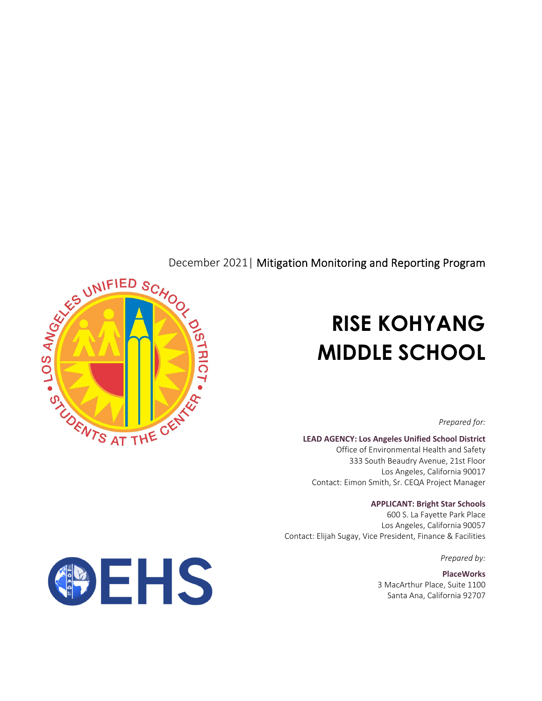

# **RISE KOHYANG MIDDLE SCHOOL**

*Prepared for:*

**LEAD AGENCY: Los Angeles Unified School District**

Office of Environmental Health and Safety 333 South Beaudry Avenue, 21st Floor Los Angeles, California 90017 Contact: Eimon Smith, Sr. CEQA Project Manager

#### **APPLICANT: Bright Star Schools**

600 S. La Fayette Park Place Los Angeles, California 90057 Contact: Elijah Sugay, Vice President, Finance & Facilities

*Prepared by:*

**PlaceWorks** 3 MacArthur Place, Suite 1100 Santa Ana, California 92707

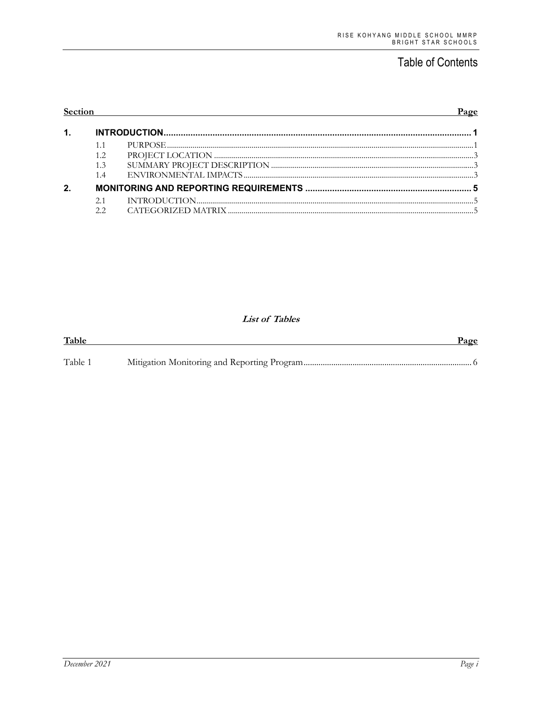## **Table of Contents**

| Section |     |  | Page |
|---------|-----|--|------|
| 1.      |     |  |      |
|         |     |  |      |
|         |     |  |      |
|         | 1.3 |  |      |
|         | 1.4 |  |      |
| 2.      |     |  |      |
|         | 2.1 |  |      |
|         |     |  |      |

#### **List of Tables**

| Table   | Page |
|---------|------|
| Table 1 |      |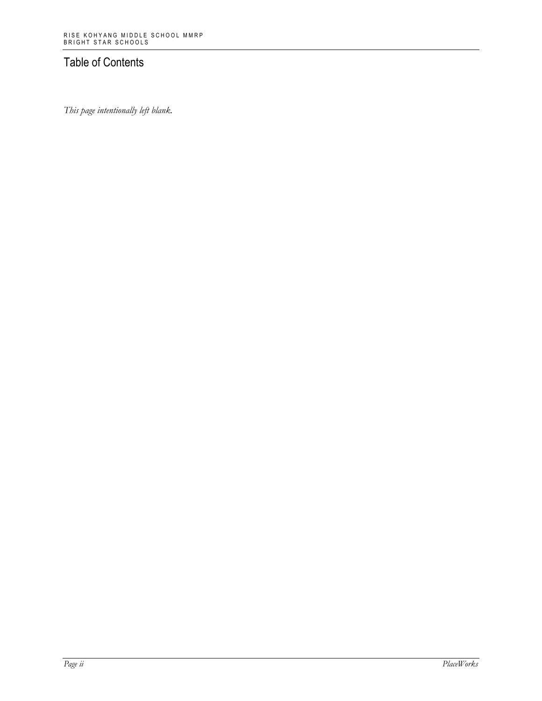### Table of Contents

*This page intentionally left blank.*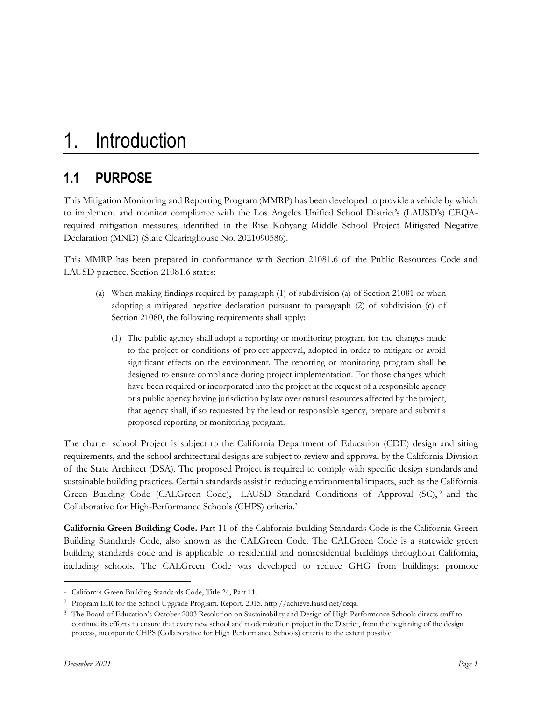## **1.1 PURPOSE**

This Mitigation Monitoring and Reporting Program (MMRP) has been developed to provide a vehicle by which to implement and monitor compliance with the Los Angeles Unified School District's (LAUSD's) CEQArequired mitigation measures, identified in the Rise Kohyang Middle School Project Mitigated Negative Declaration (MND) (State Clearinghouse No. 2021090586).

This MMRP has been prepared in conformance with Section 21081.6 of the Public Resources Code and LAUSD practice. Section 21081.6 states:

- (a) When making findings required by paragraph (1) of subdivision (a) of Section 21081 or when adopting a mitigated negative declaration pursuant to paragraph (2) of subdivision (c) of Section 21080, the following requirements shall apply:
	- (1) The public agency shall adopt a reporting or monitoring program for the changes made to the project or conditions of project approval, adopted in order to mitigate or avoid significant effects on the environment. The reporting or monitoring program shall be designed to ensure compliance during project implementation. For those changes which have been required or incorporated into the project at the request of a responsible agency or a public agency having jurisdiction by law over natural resources affected by the project, that agency shall, if so requested by the lead or responsible agency, prepare and submit a proposed reporting or monitoring program.

The charter school Project is subject to the California Department of Education (CDE) design and siting requirements, and the school architectural designs are subject to review and approval by the California Division of the State Architect (DSA). The proposed Project is required to comply with specific design standards and sustainable building practices. Certain standards assist in reducing environmental impacts, such as the California Green Building Code (CALGreen Code),<sup>1</sup> LAUSD Standard Conditions of Approval (SC),<sup>2</sup> and the Collaborative for High-Performance Schools (CHPS) criteria.3

**California Green Building Code.** Part 11 of the California Building Standards Code is the California Green Building Standards Code, also known as the CALGreen Code. The CALGreen Code is a statewide green building standards code and is applicable to residential and nonresidential buildings throughout California, including schools. The CALGreen Code was developed to reduce GHG from buildings; promote

<sup>1</sup> California Green Building Standards Code, Title 24, Part 11.

<sup>2</sup> Program EIR for the School Upgrade Program. Report. 2015. http://achieve.lausd.net/ceqa.

<sup>&</sup>lt;sup>3</sup> The Board of Education's October 2003 Resolution on Sustainability and Design of High Performance Schools directs staff to continue its efforts to ensure that every new school and modernization project in the District, from the beginning of the design process, incorporate CHPS (Collaborative for High Performance Schools) criteria to the extent possible.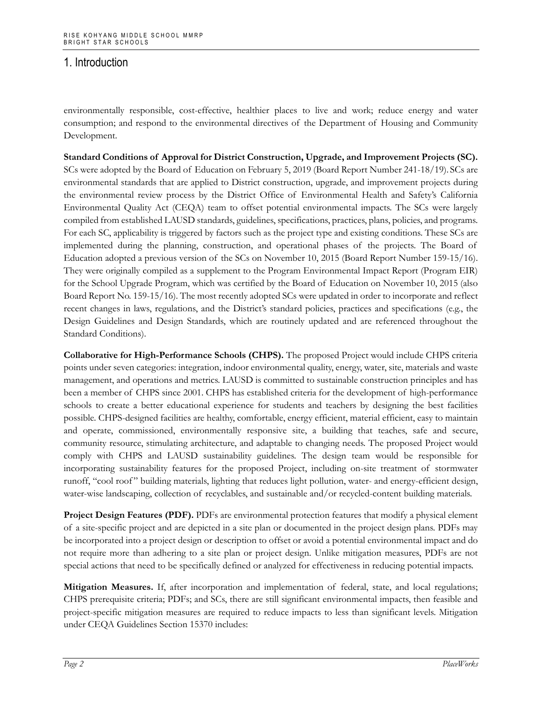environmentally responsible, cost-effective, healthier places to live and work; reduce energy and water consumption; and respond to the environmental directives of the Department of Housing and Community Development.

**Standard Conditions of Approval for District Construction, Upgrade, and Improvement Projects (SC).** SCs were adopted by the Board of Education on February 5, 2019 (Board Report Number 241-18/19). SCs are environmental standards that are applied to District construction, upgrade, and improvement projects during the environmental review process by the District Office of Environmental Health and Safety's California Environmental Quality Act (CEQA) team to offset potential environmental impacts. The SCs were largely compiled from established LAUSD standards, guidelines, specifications, practices, plans, policies, and programs. For each SC, applicability is triggered by factors such as the project type and existing conditions. These SCs are implemented during the planning, construction, and operational phases of the projects. The Board of Education adopted a previous version of the SCs on November 10, 2015 (Board Report Number 159-15/16). They were originally compiled as a supplement to the Program Environmental Impact Report (Program EIR) for the School Upgrade Program, which was certified by the Board of Education on November 10, 2015 (also Board Report No. 159-15/16). The most recently adopted SCs were updated in order to incorporate and reflect recent changes in laws, regulations, and the District's standard policies, practices and specifications (e.g., the Design Guidelines and Design Standards, which are routinely updated and are referenced throughout the Standard Conditions).

**Collaborative for High-Performance Schools (CHPS).** The proposed Project would include CHPS criteria points under seven categories: integration, indoor environmental quality, energy, water, site, materials and waste management, and operations and metrics. LAUSD is committed to sustainable construction principles and has been a member of CHPS since 2001. CHPS has established criteria for the development of high-performance schools to create a better educational experience for students and teachers by designing the best facilities possible. CHPS-designed facilities are healthy, comfortable, energy efficient, material efficient, easy to maintain and operate, commissioned, environmentally responsive site, a building that teaches, safe and secure, community resource, stimulating architecture, and adaptable to changing needs. The proposed Project would comply with CHPS and LAUSD sustainability guidelines. The design team would be responsible for incorporating sustainability features for the proposed Project, including on-site treatment of stormwater runoff, "cool roof " building materials, lighting that reduces light pollution, water- and energy-efficient design, water-wise landscaping, collection of recyclables, and sustainable and/or recycled-content building materials.

**Project Design Features (PDF).** PDFs are environmental protection features that modify a physical element of a site-specific project and are depicted in a site plan or documented in the project design plans. PDFs may be incorporated into a project design or description to offset or avoid a potential environmental impact and do not require more than adhering to a site plan or project design. Unlike mitigation measures, PDFs are not special actions that need to be specifically defined or analyzed for effectiveness in reducing potential impacts.

**Mitigation Measures.** If, after incorporation and implementation of federal, state, and local regulations; CHPS prerequisite criteria; PDFs; and SCs, there are still significant environmental impacts, then feasible and project-specific mitigation measures are required to reduce impacts to less than significant levels. Mitigation under CEQA Guidelines Section 15370 includes: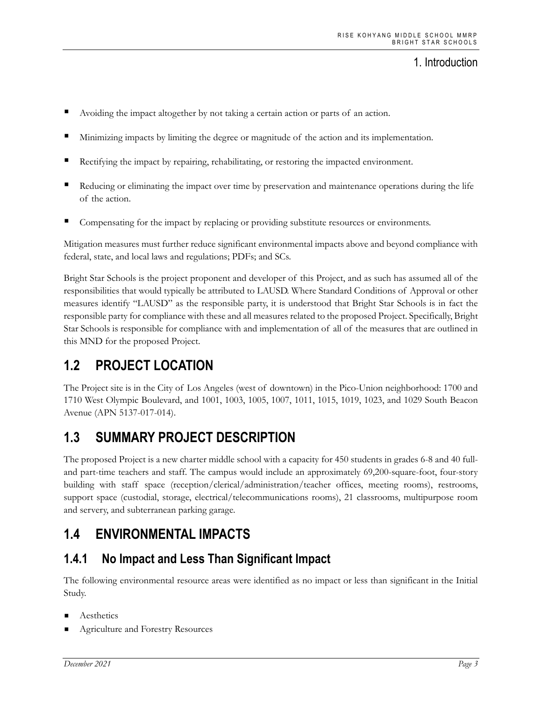- Avoiding the impact altogether by not taking a certain action or parts of an action.
- Minimizing impacts by limiting the degree or magnitude of the action and its implementation.
- Rectifying the impact by repairing, rehabilitating, or restoring the impacted environment.
- Reducing or eliminating the impact over time by preservation and maintenance operations during the life of the action.
- Compensating for the impact by replacing or providing substitute resources or environments.

Mitigation measures must further reduce significant environmental impacts above and beyond compliance with federal, state, and local laws and regulations; PDFs; and SCs.

Bright Star Schools is the project proponent and developer of this Project, and as such has assumed all of the responsibilities that would typically be attributed to LAUSD. Where Standard Conditions of Approval or other measures identify "LAUSD" as the responsible party, it is understood that Bright Star Schools is in fact the responsible party for compliance with these and all measures related to the proposed Project. Specifically, Bright Star Schools is responsible for compliance with and implementation of all of the measures that are outlined in this MND for the proposed Project.

## **1.2 PROJECT LOCATION**

The Project site is in the City of Los Angeles (west of downtown) in the Pico-Union neighborhood: 1700 and 1710 West Olympic Boulevard, and 1001, 1003, 1005, 1007, 1011, 1015, 1019, 1023, and 1029 South Beacon Avenue (APN 5137-017-014).

## **1.3 SUMMARY PROJECT DESCRIPTION**

The proposed Project is a new charter middle school with a capacity for 450 students in grades 6-8 and 40 fulland part-time teachers and staff. The campus would include an approximately 69,200-square-foot, four-story building with staff space (reception/clerical/administration/teacher offices, meeting rooms), restrooms, support space (custodial, storage, electrical/telecommunications rooms), 21 classrooms, multipurpose room and servery, and subterranean parking garage.

## **1.4 ENVIRONMENTAL IMPACTS**

### **1.4.1 No Impact and Less Than Significant Impact**

The following environmental resource areas were identified as no impact or less than significant in the Initial Study.

- **Aesthetics**
- Agriculture and Forestry Resources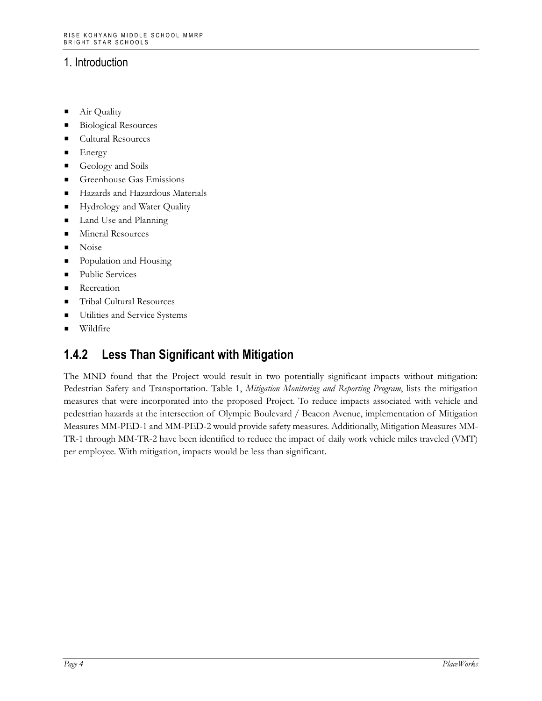- Air Quality
- Biological Resources
- Cultural Resources
- $\blacksquare$  Energy
- Geology and Soils
- Greenhouse Gas Emissions
- Hazards and Hazardous Materials
- **Hydrology and Water Quality**
- Land Use and Planning
- **Mineral Resources**
- **Noise**
- Population and Housing
- **Public Services**
- **Recreation**
- Tribal Cultural Resources
- **Utilities and Service Systems**
- **Wildfire**

## **1.4.2 Less Than Significant with Mitigation**

The MND found that the Project would result in two potentially significant impacts without mitigation: Pedestrian Safety and Transportation. Table 1, *Mitigation Monitoring and Reporting Program*, lists the mitigation measures that were incorporated into the proposed Project. To reduce impacts associated with vehicle and pedestrian hazards at the intersection of Olympic Boulevard / Beacon Avenue, implementation of Mitigation Measures MM-PED-1 and MM-PED-2 would provide safety measures. Additionally, Mitigation Measures MM-TR-1 through MM-TR-2 have been identified to reduce the impact of daily work vehicle miles traveled (VMT) per employee. With mitigation, impacts would be less than significant.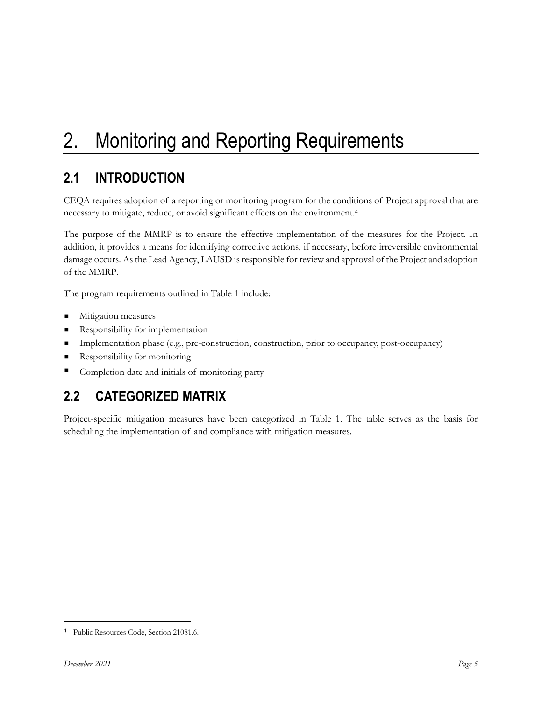# 2. Monitoring and Reporting Requirements

# **2.1 INTRODUCTION**

CEQA requires adoption of a reporting or monitoring program for the conditions of Project approval that are necessary to mitigate, reduce, or avoid significant effects on the environment.4

The purpose of the MMRP is to ensure the effective implementation of the measures for the Project. In addition, it provides a means for identifying corrective actions, if necessary, before irreversible environmental damage occurs. As the Lead Agency, LAUSD is responsible for review and approval of the Project and adoption of the MMRP.

The program requirements outlined in Table 1 include:

- **Mitigation measures**
- **Responsibility for implementation**
- Implementation phase (e.g., pre-construction, construction, prior to occupancy, post-occupancy)
- Responsibility for monitoring
- Completion date and initials of monitoring party

## **2.2 CATEGORIZED MATRIX**

Project-specific mitigation measures have been categorized in Table 1. The table serves as the basis for scheduling the implementation of and compliance with mitigation measures.

<sup>4</sup> Public Resources Code, Section 21081.6.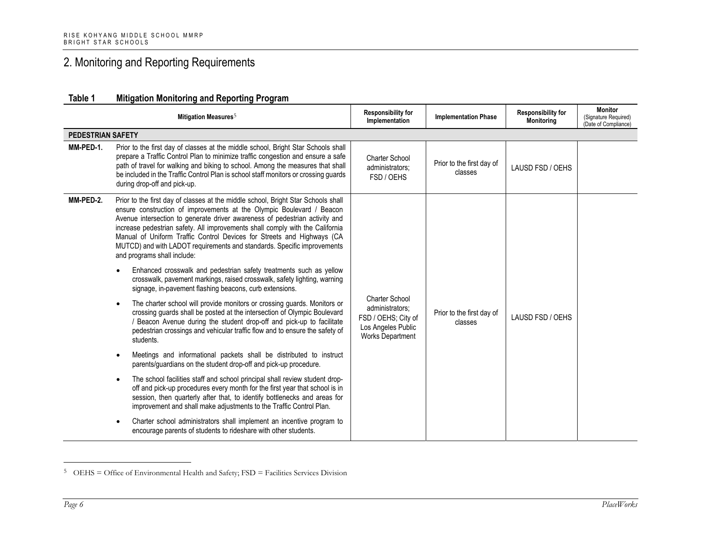## 2. Monitoring and Reporting Requirements

#### **Table 1 Mitigation Monitoring and Reporting Program**

|                          | Mitigation Measures <sup>5</sup>                                                                                                                                                                                                                                                                                                                                                                                                                                                                               | <b>Responsibility for</b><br>Implementation                                                                      | <b>Implementation Phase</b>          | <b>Responsibility for</b><br><b>Monitoring</b> | <b>Monitor</b><br>(Signature Required)<br>(Date of Compliance) |  |  |
|--------------------------|----------------------------------------------------------------------------------------------------------------------------------------------------------------------------------------------------------------------------------------------------------------------------------------------------------------------------------------------------------------------------------------------------------------------------------------------------------------------------------------------------------------|------------------------------------------------------------------------------------------------------------------|--------------------------------------|------------------------------------------------|----------------------------------------------------------------|--|--|
| <b>PEDESTRIAN SAFETY</b> |                                                                                                                                                                                                                                                                                                                                                                                                                                                                                                                |                                                                                                                  |                                      |                                                |                                                                |  |  |
| MM-PED-1.                | Prior to the first day of classes at the middle school, Bright Star Schools shall<br>prepare a Traffic Control Plan to minimize traffic congestion and ensure a safe<br>path of travel for walking and biking to school. Among the measures that shall<br>be included in the Traffic Control Plan is school staff monitors or crossing guards<br>during drop-off and pick-up.                                                                                                                                  | Charter School<br>administrators;<br>FSD / OEHS                                                                  | Prior to the first day of<br>classes | LAUSD FSD / OEHS                               |                                                                |  |  |
| MM-PED-2.                | Prior to the first day of classes at the middle school, Bright Star Schools shall<br>ensure construction of improvements at the Olympic Boulevard / Beacon<br>Avenue intersection to generate driver awareness of pedestrian activity and<br>increase pedestrian safety. All improvements shall comply with the California<br>Manual of Uniform Traffic Control Devices for Streets and Highways (CA<br>MUTCD) and with LADOT requirements and standards. Specific improvements<br>and programs shall include: |                                                                                                                  |                                      |                                                |                                                                |  |  |
|                          | Enhanced crosswalk and pedestrian safety treatments such as yellow<br>crosswalk, pavement markings, raised crosswalk, safety lighting, warning<br>signage, in-pavement flashing beacons, curb extensions.                                                                                                                                                                                                                                                                                                      |                                                                                                                  |                                      |                                                |                                                                |  |  |
|                          | The charter school will provide monitors or crossing guards. Monitors or<br>crossing guards shall be posted at the intersection of Olympic Boulevard<br>/ Beacon Avenue during the student drop-off and pick-up to facilitate<br>pedestrian crossings and vehicular traffic flow and to ensure the safety of<br>students.                                                                                                                                                                                      | <b>Charter School</b><br>administrators;<br>FSD / OEHS; City of<br>Los Angeles Public<br><b>Works Department</b> | Prior to the first day of<br>classes | LAUSD FSD / OEHS                               |                                                                |  |  |
|                          | Meetings and informational packets shall be distributed to instruct<br>parents/guardians on the student drop-off and pick-up procedure.                                                                                                                                                                                                                                                                                                                                                                        |                                                                                                                  |                                      |                                                |                                                                |  |  |
|                          | The school facilities staff and school principal shall review student drop-<br>off and pick-up procedures every month for the first year that school is in<br>session, then quarterly after that, to identify bottlenecks and areas for<br>improvement and shall make adjustments to the Traffic Control Plan.                                                                                                                                                                                                 |                                                                                                                  |                                      |                                                |                                                                |  |  |
|                          | Charter school administrators shall implement an incentive program to<br>encourage parents of students to rideshare with other students.                                                                                                                                                                                                                                                                                                                                                                       |                                                                                                                  |                                      |                                                |                                                                |  |  |

<sup>5</sup> OEHS = Office of Environmental Health and Safety; FSD = Facilities Services Division